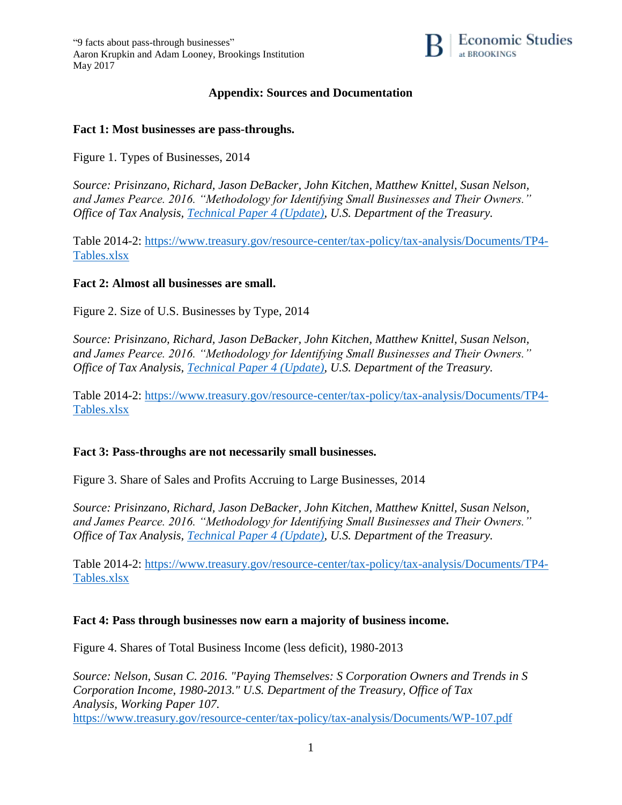"9 facts about pass-through businesses" Aaron Krupkin and Adam Looney, Brookings Institution May 2017



# **Appendix: Sources and Documentation**

#### **Fact 1: Most businesses are pass-throughs.**

Figure 1. Types of Businesses, 2014

*Source: Prisinzano, Richard, Jason DeBacker, John Kitchen, Matthew Knittel, Susan Nelson, and James Pearce. 2016. "Methodology for Identifying Small Businesses and Their Owners." Office of Tax Analysis, [Technical Paper 4 \(Update\),](https://www.treasury.gov/resource-center/tax-policy/tax-analysis/Documents/TP4-Update.pdf) U.S. Department of the Treasury.*

Table 2014-2: [https://www.treasury.gov/resource-center/tax-policy/tax-analysis/Documents/TP4-](https://www.treasury.gov/resource-center/tax-policy/tax-analysis/Documents/TP4-Tables.xlsx) [Tables.xlsx](https://www.treasury.gov/resource-center/tax-policy/tax-analysis/Documents/TP4-Tables.xlsx)

### **Fact 2: Almost all businesses are small.**

Figure 2. Size of U.S. Businesses by Type, 2014

*Source: Prisinzano, Richard, Jason DeBacker, John Kitchen, Matthew Knittel, Susan Nelson, and James Pearce. 2016. "Methodology for Identifying Small Businesses and Their Owners." Office of Tax Analysis, [Technical Paper 4 \(Update\),](https://www.treasury.gov/resource-center/tax-policy/tax-analysis/Documents/TP4-Update.pdf) U.S. Department of the Treasury.*

Table 2014-2: [https://www.treasury.gov/resource-center/tax-policy/tax-analysis/Documents/TP4-](https://www.treasury.gov/resource-center/tax-policy/tax-analysis/Documents/TP4-Tables.xlsx) [Tables.xlsx](https://www.treasury.gov/resource-center/tax-policy/tax-analysis/Documents/TP4-Tables.xlsx)

#### **Fact 3: Pass-throughs are not necessarily small businesses.**

Figure 3. Share of Sales and Profits Accruing to Large Businesses, 2014

*Source: Prisinzano, Richard, Jason DeBacker, John Kitchen, Matthew Knittel, Susan Nelson, and James Pearce. 2016. "Methodology for Identifying Small Businesses and Their Owners." Office of Tax Analysis, [Technical Paper 4 \(Update\),](https://www.treasury.gov/resource-center/tax-policy/tax-analysis/Documents/TP4-Update.pdf) U.S. Department of the Treasury.*

Table 2014-2: [https://www.treasury.gov/resource-center/tax-policy/tax-analysis/Documents/TP4-](https://www.treasury.gov/resource-center/tax-policy/tax-analysis/Documents/TP4-Tables.xlsx) [Tables.xlsx](https://www.treasury.gov/resource-center/tax-policy/tax-analysis/Documents/TP4-Tables.xlsx)

#### **Fact 4: Pass through businesses now earn a majority of business income.**

Figure 4. Shares of Total Business Income (less deficit), 1980-2013

*Source: Nelson, Susan C. 2016. "Paying Themselves: S Corporation Owners and Trends in S Corporation Income, 1980-2013." U.S. Department of the Treasury, Office of Tax Analysis, Working Paper 107.* <https://www.treasury.gov/resource-center/tax-policy/tax-analysis/Documents/WP-107.pdf>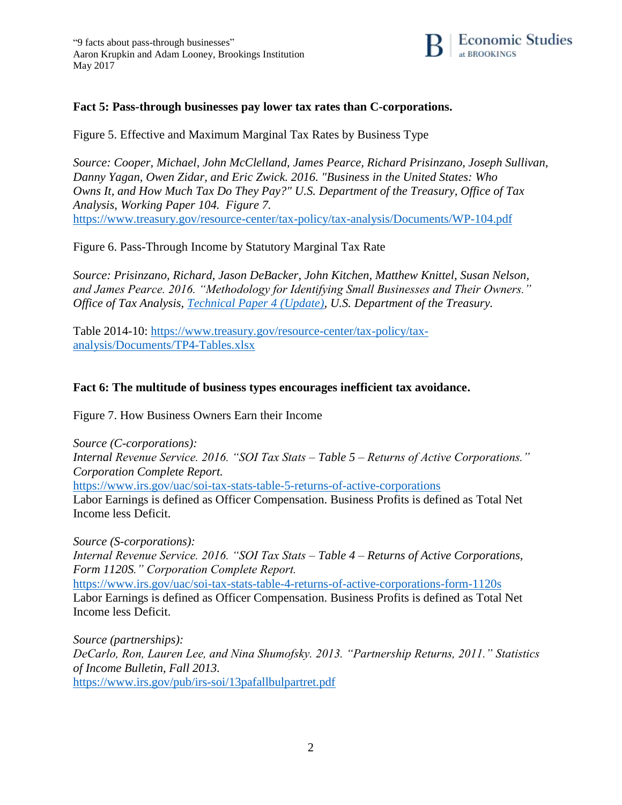

## **Fact 5: Pass-through businesses pay lower tax rates than C-corporations.**

Figure 5. Effective and Maximum Marginal Tax Rates by Business Type

*Source: Cooper, Michael, John McClelland, James Pearce, Richard Prisinzano, Joseph Sullivan, Danny Yagan, Owen Zidar, and Eric Zwick. 2016. "Business in the United States: Who Owns It, and How Much Tax Do They Pay?" U.S. Department of the Treasury, Office of Tax Analysis, Working Paper 104. Figure 7.* <https://www.treasury.gov/resource-center/tax-policy/tax-analysis/Documents/WP-104.pdf>

Figure 6. Pass-Through Income by Statutory Marginal Tax Rate

*Source: Prisinzano, Richard, Jason DeBacker, John Kitchen, Matthew Knittel, Susan Nelson, and James Pearce. 2016. "Methodology for Identifying Small Businesses and Their Owners." Office of Tax Analysis, [Technical Paper 4 \(Update\),](https://www.treasury.gov/resource-center/tax-policy/tax-analysis/Documents/TP4-Update.pdf) U.S. Department of the Treasury.*

Table 2014-10: [https://www.treasury.gov/resource-center/tax-policy/tax](https://www.treasury.gov/resource-center/tax-policy/tax-analysis/Documents/TP4-Tables.xlsx)[analysis/Documents/TP4-Tables.xlsx](https://www.treasury.gov/resource-center/tax-policy/tax-analysis/Documents/TP4-Tables.xlsx)

# **Fact 6: The multitude of business types encourages inefficient tax avoidance.**

Figure 7. How Business Owners Earn their Income

*Source (C-corporations): Internal Revenue Service. 2016. "SOI Tax Stats – Table 5 – Returns of Active Corporations." Corporation Complete Report.* <https://www.irs.gov/uac/soi-tax-stats-table-5-returns-of-active-corporations> Labor Earnings is defined as Officer Compensation. Business Profits is defined as Total Net Income less Deficit.

*Source (S-corporations): Internal Revenue Service. 2016. "SOI Tax Stats – Table 4 – Returns of Active Corporations, Form 1120S." Corporation Complete Report.* <https://www.irs.gov/uac/soi-tax-stats-table-4-returns-of-active-corporations-form-1120s> Labor Earnings is defined as Officer Compensation. Business Profits is defined as Total Net Income less Deficit.

*Source (partnerships): DeCarlo, Ron, Lauren Lee, and Nina Shumofsky. 2013. "Partnership Returns, 2011." Statistics of Income Bulletin, Fall 2013.* <https://www.irs.gov/pub/irs-soi/13pafallbulpartret.pdf>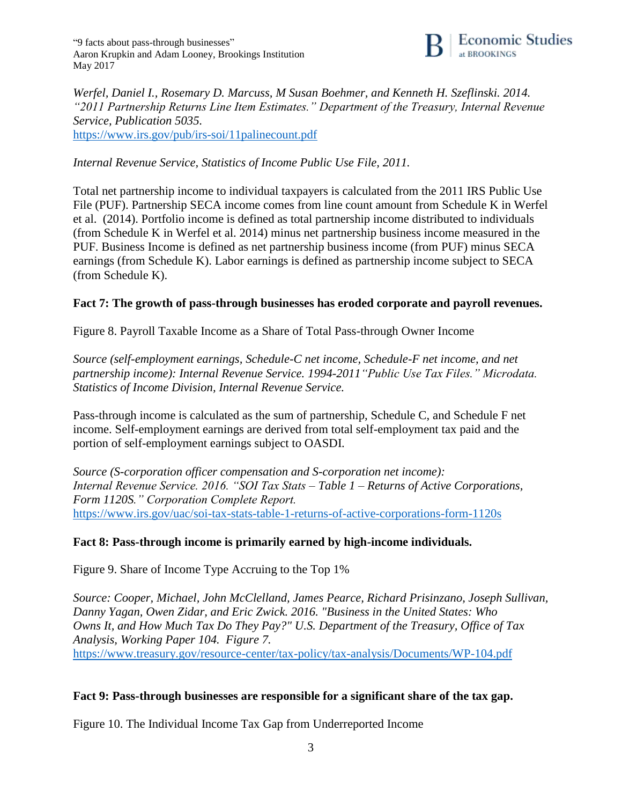"9 facts about pass-through businesses" Aaron Krupkin and Adam Looney, Brookings Institution May 2017



*Werfel, Daniel I., Rosemary D. Marcuss, M Susan Boehmer, and Kenneth H. Szeflinski. 2014. "2011 Partnership Returns Line Item Estimates." Department of the Treasury, Internal Revenue Service, Publication 5035.*  <https://www.irs.gov/pub/irs-soi/11palinecount.pdf>

*Internal Revenue Service, Statistics of Income Public Use File, 2011.*

Total net partnership income to individual taxpayers is calculated from the 2011 IRS Public Use File (PUF). Partnership SECA income comes from line count amount from Schedule K in Werfel et al. (2014). Portfolio income is defined as total partnership income distributed to individuals (from Schedule K in Werfel et al. 2014) minus net partnership business income measured in the PUF. Business Income is defined as net partnership business income (from PUF) minus SECA earnings (from Schedule K). Labor earnings is defined as partnership income subject to SECA (from Schedule K).

## **Fact 7: The growth of pass-through businesses has eroded corporate and payroll revenues.**

Figure 8. Payroll Taxable Income as a Share of Total Pass-through Owner Income

*Source (self-employment earnings, Schedule-C net income, Schedule-F net income, and net partnership income): Internal Revenue Service. 1994-2011"Public Use Tax Files." Microdata. Statistics of Income Division, Internal Revenue Service.* 

Pass-through income is calculated as the sum of partnership, Schedule C, and Schedule F net income. Self-employment earnings are derived from total self-employment tax paid and the portion of self-employment earnings subject to OASDI.

*Source (S-corporation officer compensation and S-corporation net income): Internal Revenue Service. 2016. "SOI Tax Stats – Table 1 – Returns of Active Corporations, Form 1120S." Corporation Complete Report.* <https://www.irs.gov/uac/soi-tax-stats-table-1-returns-of-active-corporations-form-1120s>

# **Fact 8: Pass-through income is primarily earned by high-income individuals.**

Figure 9. Share of Income Type Accruing to the Top 1%

*Source: Cooper, Michael, John McClelland, James Pearce, Richard Prisinzano, Joseph Sullivan, Danny Yagan, Owen Zidar, and Eric Zwick. 2016. "Business in the United States: Who Owns It, and How Much Tax Do They Pay?" U.S. Department of the Treasury, Office of Tax Analysis, Working Paper 104. Figure 7.* <https://www.treasury.gov/resource-center/tax-policy/tax-analysis/Documents/WP-104.pdf>

## **Fact 9: Pass-through businesses are responsible for a significant share of the tax gap.**

Figure 10. The Individual Income Tax Gap from Underreported Income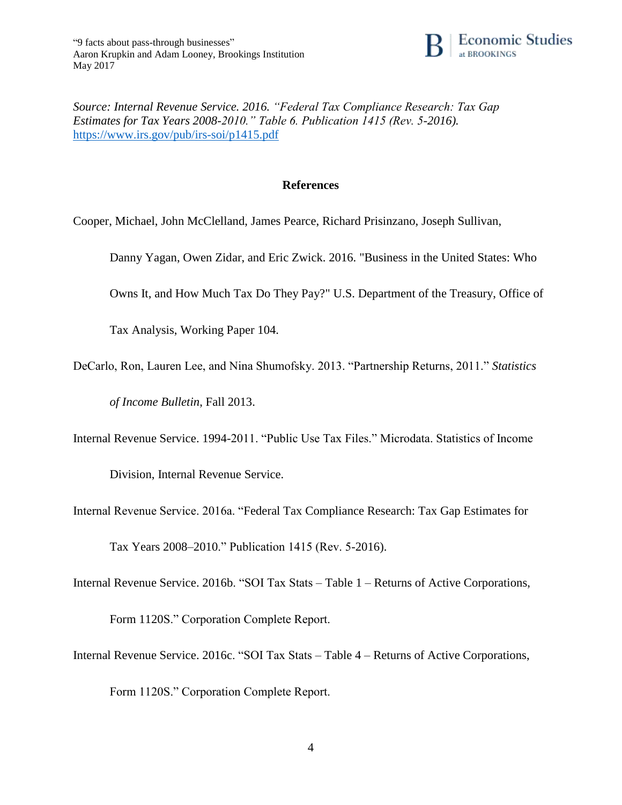

*Source: Internal Revenue Service. 2016. "Federal Tax Compliance Research: Tax Gap Estimates for Tax Years 2008-2010." Table 6. Publication 1415 (Rev. 5-2016).* <https://www.irs.gov/pub/irs-soi/p1415.pdf>

### **References**

Cooper, Michael, John McClelland, James Pearce, Richard Prisinzano, Joseph Sullivan,

Danny Yagan, Owen Zidar, and Eric Zwick. 2016. "Business in the United States: Who

Owns It, and How Much Tax Do They Pay?" U.S. Department of the Treasury, Office of

Tax Analysis, Working Paper 104.

DeCarlo, Ron, Lauren Lee, and Nina Shumofsky. 2013. "Partnership Returns, 2011." *Statistics* 

*of Income Bulletin*, Fall 2013.

Internal Revenue Service. 1994-2011. "Public Use Tax Files." Microdata. Statistics of Income

Division, Internal Revenue Service.

Internal Revenue Service. 2016a. "Federal Tax Compliance Research: Tax Gap Estimates for

Tax Years 2008–2010." Publication 1415 (Rev. 5-2016).

Internal Revenue Service. 2016b. "SOI Tax Stats – Table 1 – Returns of Active Corporations,

Form 1120S." Corporation Complete Report.

Internal Revenue Service. 2016c. "SOI Tax Stats – Table 4 – Returns of Active Corporations,

Form 1120S." Corporation Complete Report.